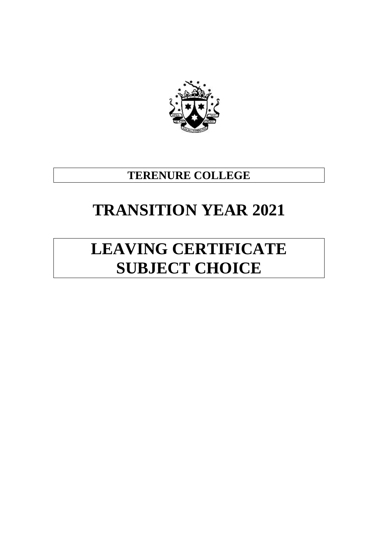

## **TERENURE COLLEGE**

## **TRANSITION YEAR 2021**

# **LEAVING CERTIFICATE SUBJECT CHOICE**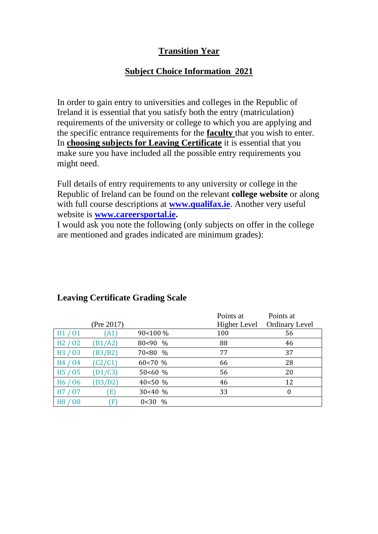## **Transition Year**

## **Subject Choice Information 2021**

In order to gain entry to universities and colleges in the Republic of Ireland it is essential that you satisfy both the entry (matriculation) requirements of the university or college to which you are applying and the specific entrance requirements for the **faculty** that you wish to enter. In **choosing subjects for Leaving Certificate** it is essential that you make sure you have included all the possible entry requirements you might need.

Full details of entry requirements to any university or college in the Republic of Ireland can be found on the relevant **college website** or along with full course descriptions at **[www.qualifax.ie](http://www.qualifax.ie/)**. Another very useful website is **[www.careersportal.ie.](http://www.careersportal.ie/)** 

I would ask you note the following (only subjects on offer in the college are mentioned and grades indicated are minimum grades):

|                                 |              |              | Points at    | Points at             |
|---------------------------------|--------------|--------------|--------------|-----------------------|
|                                 | (Pre 2017)   |              | Higher Level | <b>Ordinary Level</b> |
| H1/01                           | (A1)         | 90<100 %     | 100          | 56                    |
| H2/02                           | (B1/A2)      | 80<90 %      | 88           | 46                    |
| H <sub>3</sub> / 0 <sub>3</sub> | (B3/B2)      | 70<80 %      | 77           | 37                    |
| H4 / 04                         | (C2/C1)      | 60<70 %      | 66           | 28                    |
| H <sub>5</sub> / 0 <sub>5</sub> | (D1/C3)      | 50<60%       | 56           | 20                    |
| H <sub>6</sub> / 0 <sub>6</sub> | (D3/D2)      | 40 < 50 %    | 46           | 12                    |
| H7 / 07                         | (E)          | 30<40%       | 33           | $\theta$              |
| H <sub>8</sub> / 0 <sub>8</sub> | $\mathcal F$ | $\%$<br>0<30 |              |                       |

## **Leaving Certificate Grading Scale**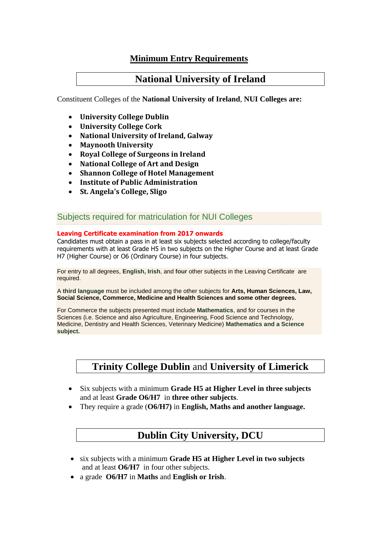## **Minimum Entry Requirements**

## **National University of Ireland**

Constituent Colleges of the **National University of Ireland**, **NUI Colleges are:**

- **University College Dublin**
- **University College Cork**
- **National University of Ireland, Galway**
- **Maynooth University**
- **Royal College of Surgeons in Ireland**
- **National College of Art and Design**
- **Shannon College of Hotel Management**
- **Institute of Public Administration**
- **St. Angela's College, Sligo**

#### Subjects required for matriculation for NUI Colleges

#### **Leaving Certificate examination from 2017 onwards**

Candidates must obtain a pass in at least six subjects selected according to college/faculty requirements with at least Grade H5 in two subjects on the Higher Course and at least Grade H7 (Higher Course) or O6 (Ordinary Course) in four subjects.

For entry to all degrees, **English, Irish**, and **four** other subjects in the Leaving Certificate are required.

A **third language** must be included among the other subjects for **Arts, Human Sciences, Law, Social Science, Commerce, Medicine and Health Sciences and some other degrees.** 

For Commerce the subjects presented must include **Mathematics**, and for courses in the Sciences (i.e. Science and also Agriculture, Engineering, Food Science and Technology, Medicine, Dentistry and Health Sciences, Veterinary Medicine) **Mathematics and a Science subject.** 

## **Trinity College Dublin** and **University of Limerick**

- Six subjects with a minimum **Grade H5 at Higher Level in three subjects** and at least **Grade O6/H7** in **three other subjects**.
- They require a grade (**O6/H7)** in **English, Maths and another language.**

## **Dublin City University, DCU**

- six subjects with a minimum **Grade H5 at Higher Level in two subjects** and at least **O6/H7** in four other subjects.
- a grade **O6/H7** in **Maths** and **English or Irish**.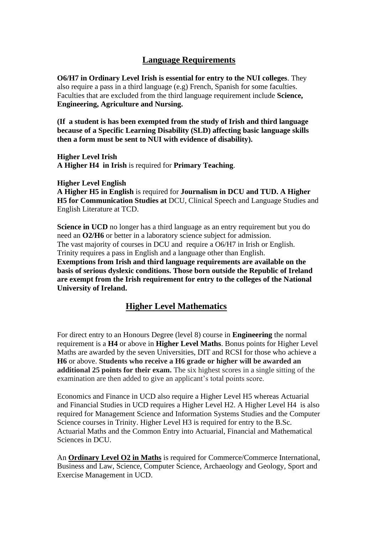## **Language Requirements**

**O6/H7 in Ordinary Level Irish is essential for entry to the NUI colleges**. They also require a pass in a third language (e.g) French, Spanish for some faculties. Faculties that are excluded from the third language requirement include **Science, Engineering, Agriculture and Nursing.**

**(If a student is has been exempted from the study of Irish and third language because of a Specific Learning Disability (SLD) affecting basic language skills then a form must be sent to NUI with evidence of disability).**

**Higher Level Irish A Higher H4 in Irish** is required for **Primary Teaching**.

**Higher Level English**

**A Higher H5 in English** is required for **Journalism in DCU and TUD. A Higher H5 for Communication Studies at** DCU, Clinical Speech and Language Studies and English Literature at TCD.

**Science in UCD** no longer has a third language as an entry requirement but you do need an **O2/H6** or better in a laboratory science subject for admission. The vast majority of courses in DCU and require a O6/H7 in Irish or English. Trinity requires a pass in English and a language other than English.

**Exemptions from Irish and third language requirements are available on the basis of serious dyslexic conditions. Those born outside the Republic of Ireland are exempt from the Irish requirement for entry to the colleges of the National University of Ireland.** 

## **Higher Level Mathematics**

For direct entry to an Honours Degree (level 8) course in **Engineering** the normal requirement is a **H4** or above in **Higher Level Maths**. Bonus points for Higher Level Maths are awarded by the seven Universities, DIT and RCSI for those who achieve a **H6** or above. **Students who receive a H6 grade or higher will be awarded an additional 25 points for their exam.** The six highest scores in a single sitting of the examination are then added to give an applicant's total points score.

Economics and Finance in UCD also require a Higher Level H5 whereas Actuarial and Financial Studies in UCD requires a Higher Level H2. A Higher Level H4 is also required for Management Science and Information Systems Studies and the Computer Science courses in Trinity. Higher Level H3 is required for entry to the B.Sc. Actuarial Maths and the Common Entry into Actuarial, Financial and Mathematical Sciences in DCU.

An **Ordinary Level O2 in Maths** is required for Commerce/Commerce International, Business and Law, Science, Computer Science, Archaeology and Geology, Sport and Exercise Management in UCD.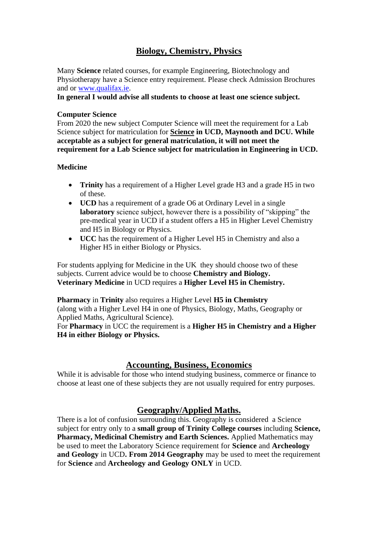## **Biology, Chemistry, Physics**

Many **Science** related courses, for example Engineering, Biotechnology and Physiotherapy have a Science entry requirement. Please check Admission Brochures and or [www.qualifax.ie.](http://www.qualifax.ie/)

**In general I would advise all students to choose at least one science subject.**

#### **Computer Science**

From 2020 the new subject Computer Science will meet the requirement for a Lab Science subject for matriculation for **Science in UCD, Maynooth and DCU. While acceptable as a subject for general matriculation, it will not meet the requirement for a Lab Science subject for matriculation in Engineering in UCD.**

#### **Medicine**

- **Trinity** has a requirement of a Higher Level grade H3 and a grade H5 in two of these.
- **UCD** has a requirement of a grade O6 at Ordinary Level in a single **laboratory** science subject, however there is a possibility of "skipping" the pre-medical year in UCD if a student offers a H5 in Higher Level Chemistry and H5 in Biology or Physics.
- **UCC** has the requirement of a Higher Level H5 in Chemistry and also a Higher H5 in either Biology or Physics.

For students applying for Medicine in the UK they should choose two of these subjects. Current advice would be to choose **Chemistry and Biology. Veterinary Medicine** in UCD requires a **Higher Level H5 in Chemistry.**

**Pharmacy** in **Trinity** also requires a Higher Level **H5 in Chemistry** (along with a Higher Level H4 in one of Physics, Biology, Maths, Geography or Applied Maths, Agricultural Science).

For **Pharmacy** in UCC the requirement is a **Higher H5 in Chemistry and a Higher H4 in either Biology or Physics.**

## **Accounting, Business, Economics**

While it is advisable for those who intend studying business, commerce or finance to choose at least one of these subjects they are not usually required for entry purposes.

## **Geography/Applied Maths.**

There is a lot of confusion surrounding this. Geography is considered a Science subject for entry only to a **small group of Trinity College courses** including **Science, Pharmacy, Medicinal Chemistry and Earth Sciences.** Applied Mathematics may be used to meet the Laboratory Science requirement for **Science** and **Archeology and Geology** in UCD**. From 2014 Geography** may be used to meet the requirement for **Science** and **Archeology and Geology ONLY** in UCD.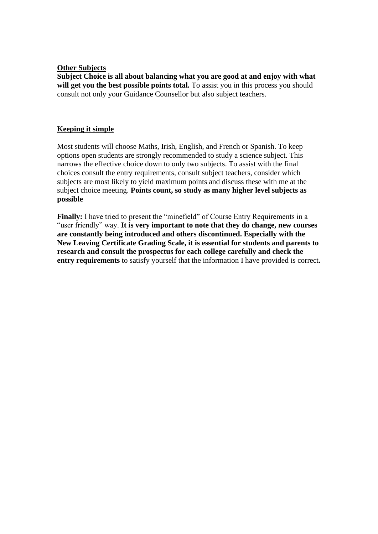#### **Other Subjects**

**Subject Choice is all about balancing what you are good at and enjoy with what**  will get you the best possible points total. To assist you in this process you should consult not only your Guidance Counsellor but also subject teachers.

#### **Keeping it simple**

Most students will choose Maths, Irish, English, and French or Spanish. To keep options open students are strongly recommended to study a science subject. This narrows the effective choice down to only two subjects. To assist with the final choices consult the entry requirements, consult subject teachers, consider which subjects are most likely to yield maximum points and discuss these with me at the subject choice meeting. **Points count, so study as many higher level subjects as possible**

**Finally:** I have tried to present the "minefield" of Course Entry Requirements in a "user friendly" way. **It is very important to note that they do change, new courses are constantly being introduced and others discontinued. Especially with the New Leaving Certificate Grading Scale, it is essential for students and parents to research and consult the prospectus for each college carefully and check the entry requirements** to satisfy yourself that the information I have provided is correct**.**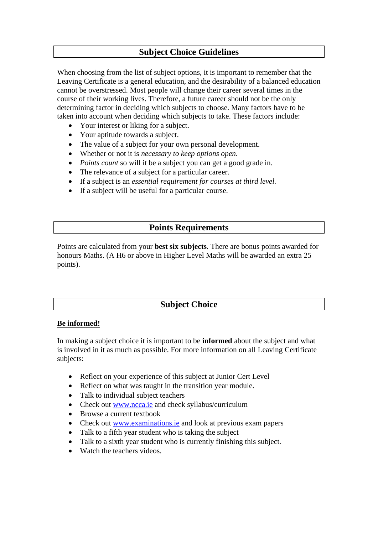## **Subject Choice Guidelines**

When choosing from the list of subject options, it is important to remember that the Leaving Certificate is a general education, and the desirability of a balanced education cannot be overstressed. Most people will change their career several times in the course of their working lives. Therefore, a future career should not be the only determining factor in deciding which subjects to choose. Many factors have to be taken into account when deciding which subjects to take. These factors include:

- Your interest or liking for a subject.
- Your aptitude towards a subject.
- The value of a subject for your own personal development.
- Whether or not it is *necessary to keep options open.*
- *Points count* so will it be a subject you can get a good grade in.
- The relevance of a subject for a particular career.
- If a subject is an *essential requirement for courses at third level.*
- If a subject will be useful for a particular course.

## **Points Requirements**

Points are calculated from your **best six subjects**. There are bonus points awarded for honours Maths. (A H6 or above in Higher Level Maths will be awarded an extra 25 points).

## **Subject Choice**

#### **Be informed!**

In making a subject choice it is important to be **informed** about the subject and what is involved in it as much as possible. For more information on all Leaving Certificate subjects:

- Reflect on your experience of this subject at Junior Cert Level
- Reflect on what was taught in the transition year module.
- Talk to individual subject teachers
- Check out [www.ncca.ie](http://www.ncca.ie/) and check syllabus/curriculum
- Browse a current textbook
- Check out [www.examinations.ie](http://www.examinations.ie/) and look at previous exam papers
- Talk to a fifth year student who is taking the subject
- Talk to a sixth year student who is currently finishing this subject.
- Watch the teachers videos.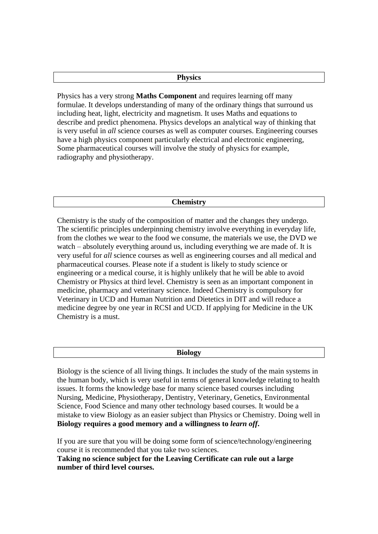#### **Physics**

Physics has a very strong **Maths Component** and requires learning off many formulae. It develops understanding of many of the ordinary things that surround us including heat, light, electricity and magnetism. It uses Maths and equations to describe and predict phenomena. Physics develops an analytical way of thinking that is very useful in *all* science courses as well as computer courses. Engineering courses have a high physics component particularly electrical and electronic engineering, Some pharmaceutical courses will involve the study of physics for example, radiography and physiotherapy.

#### **Chemistry**

Chemistry is the study of the composition of matter and the changes they undergo. The scientific principles underpinning chemistry involve everything in everyday life, from the clothes we wear to the food we consume, the materials we use, the DVD we watch – absolutely everything around us, including everything we are made of. It is very useful for *all* science courses as well as engineering courses and all medical and pharmaceutical courses. Please note if a student is likely to study science or engineering or a medical course, it is highly unlikely that he will be able to avoid Chemistry or Physics at third level. Chemistry is seen as an important component in medicine, pharmacy and veterinary science. Indeed Chemistry is compulsory for Veterinary in UCD and Human Nutrition and Dietetics in DIT and will reduce a medicine degree by one year in RCSI and UCD. If applying for Medicine in the UK Chemistry is a must.

Biology is the science of all living things. It includes the study of the main systems in the human body, which is very useful in terms of general knowledge relating to health issues. It forms the knowledge base for many science based courses including Nursing, Medicine, Physiotherapy, Dentistry, Veterinary, Genetics, Environmental Science, Food Science and many other technology based courses. It would be a mistake to view Biology as an easier subject than Physics or Chemistry. Doing well in **Biology requires a good memory and a willingness to** *learn off***.**

If you are sure that you will be doing some form of science/technology/engineering course it is recommended that you take two sciences.

**Taking no science subject for the Leaving Certificate can rule out a large number of third level courses.**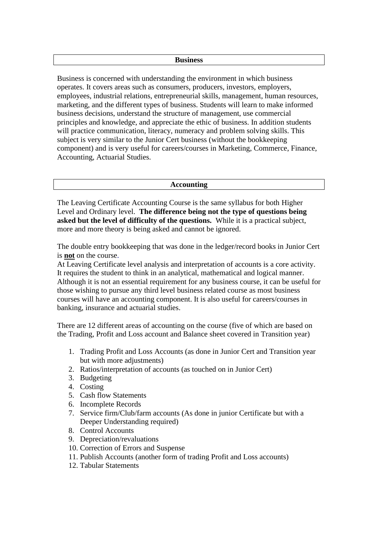#### **Business**

Business is concerned with understanding the environment in which business operates. It covers areas such as consumers, producers, investors, employers, employees, industrial relations, entrepreneurial skills, management, human resources, marketing, and the different types of business. Students will learn to make informed business decisions, understand the structure of management, use commercial principles and knowledge, and appreciate the ethic of business. In addition students will practice communication, literacy, numeracy and problem solving skills. This subject is very similar to the Junior Cert business (without the bookkeeping component) and is very useful for careers/courses in Marketing, Commerce, Finance, Accounting, Actuarial Studies.

#### **Accounting**

The Leaving Certificate Accounting Course is the same syllabus for both Higher Level and Ordinary level. **The difference being not the type of questions being asked but the level of difficulty of the questions.** While it is a practical subject, more and more theory is being asked and cannot be ignored.

The double entry bookkeeping that was done in the ledger/record books in Junior Cert is **not** on the course.

At Leaving Certificate level analysis and interpretation of accounts is a core activity. It requires the student to think in an analytical, mathematical and logical manner. Although it is not an essential requirement for any business course, it can be useful for those wishing to pursue any third level business related course as most business courses will have an accounting component. It is also useful for careers/courses in banking, insurance and actuarial studies.

There are 12 different areas of accounting on the course (five of which are based on the Trading, Profit and Loss account and Balance sheet covered in Transition year)

- 1. Trading Profit and Loss Accounts (as done in Junior Cert and Transition year but with more adjustments)
- 2. Ratios/interpretation of accounts (as touched on in Junior Cert)
- 3. Budgeting
- 4. Costing
- 5. Cash flow Statements
- 6. Incomplete Records
- 7. Service firm/Club/farm accounts (As done in junior Certificate but with a Deeper Understanding required)
- 8. Control Accounts
- 9. Depreciation/revaluations
- 10. Correction of Errors and Suspense
- 11. Publish Accounts (another form of trading Profit and Loss accounts)
- 12. Tabular Statements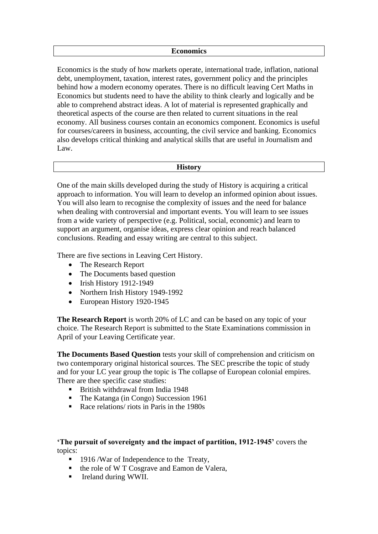#### **Economics**

Economics is the study of how markets operate, international trade, inflation, national debt, unemployment, taxation, interest rates, government policy and the principles behind how a modern economy operates. There is no difficult leaving Cert Maths in Economics but students need to have the ability to think clearly and logically and be able to comprehend abstract ideas. A lot of material is represented graphically and theoretical aspects of the course are then related to current situations in the real economy. All business courses contain an economics component. Economics is useful for courses/careers in business, accounting, the civil service and banking. Economics also develops critical thinking and analytical skills that are useful in Journalism and Law.

#### **History**

One of the main skills developed during the study of History is acquiring a critical approach to information. You will learn to develop an informed opinion about issues. You will also learn to recognise the complexity of issues and the need for balance when dealing with controversial and important events. You will learn to see issues from a wide variety of perspective (e.g. Political, social, economic) and learn to support an argument, organise ideas, express clear opinion and reach balanced conclusions. Reading and essay writing are central to this subject.

There are five sections in Leaving Cert History.

- The Research Report
- The Documents based question
- Irish History 1912-1949
- Northern Irish History 1949-1992
- European History 1920-1945

**The Research Report** is worth 20% of LC and can be based on any topic of your choice. The Research Report is submitted to the State Examinations commission in April of your Leaving Certificate year.

**The Documents Based Question** tests your skill of comprehension and criticism on two contemporary original historical sources. The SEC prescribe the topic of study and for your LC year group the topic is The collapse of European colonial empires. There are thee specific case studies:

- British withdrawal from India 1948
- The Katanga (in Congo) Succession 1961
- Race relations/ riots in Paris in the 1980s

**'The pursuit of sovereignty and the impact of partition, 1912-1945'** covers the topics:

- 1916 / War of Independence to the Treaty,
- the role of W T Cosgrave and Eamon de Valera,
- Ireland during WWII.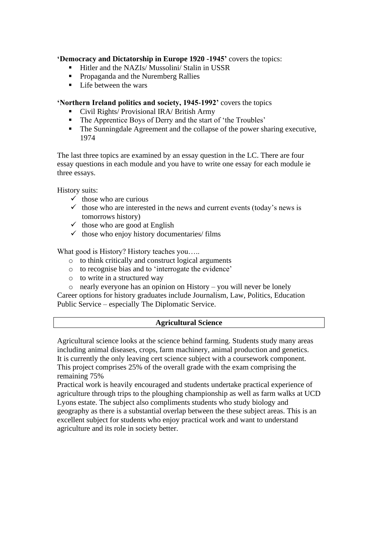#### **'Democracy and Dictatorship in Europe 1920 -1945'** covers the topics:

- Hitler and the NAZIs/ Mussolini/ Stalin in USSR
- **•** Propaganda and the Nuremberg Rallies
- Life between the wars

#### **'Northern Ireland politics and society, 1945-1992'** covers the topics

- Civil Rights/ Provisional IRA/ British Army
- The Apprentice Boys of Derry and the start of 'the Troubles'
- The Sunningdale Agreement and the collapse of the power sharing executive, 1974

The last three topics are examined by an essay question in the LC. There are four essay questions in each module and you have to write one essay for each module ie three essays.

History suits:

- $\checkmark$  those who are curious
- $\checkmark$  those who are interested in the news and current events (today's news is tomorrows history)
- $\checkmark$  those who are good at English
- $\checkmark$  those who enjoy history documentaries/ films

What good is History? History teaches you.....

- o to think critically and construct logical arguments
- o to recognise bias and to 'interrogate the evidence'
- o to write in a structured way
- o nearly everyone has an opinion on History you will never be lonely

Career options for history graduates include Journalism, Law, Politics, Education Public Service – especially The Diplomatic Service.

#### **Agricultural Science**

Agricultural science looks at the science behind farming. Students study many areas including animal diseases, crops, farm machinery, animal production and genetics. It is currently the only leaving cert science subject with a coursework component. This project comprises 25% of the overall grade with the exam comprising the remaining 75%

Practical work is heavily encouraged and students undertake practical experience of agriculture through trips to the ploughing championship as well as farm walks at UCD Lyons estate. The subject also compliments students who study biology and geography as there is a substantial overlap between the these subject areas. This is an excellent subject for students who enjoy practical work and want to understand agriculture and its role in society better.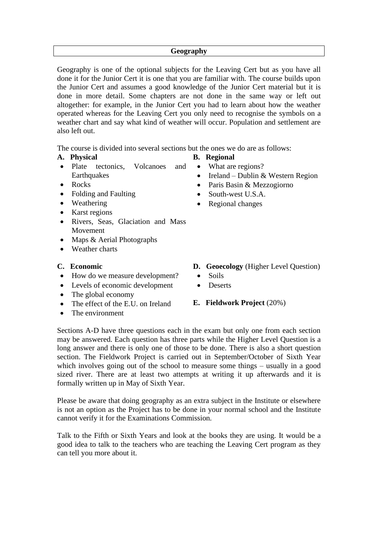#### **Geography**

Geography is one of the optional subjects for the Leaving Cert but as you have all done it for the Junior Cert it is one that you are familiar with. The course builds upon the Junior Cert and assumes a good knowledge of the Junior Cert material but it is done in more detail. Some chapters are not done in the same way or left out altogether: for example, in the Junior Cert you had to learn about how the weather operated whereas for the Leaving Cert you only need to recognise the symbols on a weather chart and say what kind of weather will occur. Population and settlement are also left out.

The course is divided into several sections but the ones we do are as follows:

- **A. Physical**
- Plate tectonics, Volcanoes and **Earthquakes**
- Rocks
- Folding and Faulting
- Weathering
- Karst regions
- Rivers, Seas, Glaciation and Mass Movement
- Maps & Aerial Photographs
- Weather charts

#### **C. Economic**

- How do we measure development?
- Levels of economic development
- The global economy
- The effect of the E.U. on Ireland
- The environment
- **D. Geoecology** (Higher Level Question)
	- Soils
	- Deserts

#### **E. Fieldwork Project** (20%)

Sections A-D have three questions each in the exam but only one from each section may be answered. Each question has three parts while the Higher Level Question is a long answer and there is only one of those to be done. There is also a short question section. The Fieldwork Project is carried out in September/October of Sixth Year which involves going out of the school to measure some things – usually in a good sized river. There are at least two attempts at writing it up afterwards and it is formally written up in May of Sixth Year.

Please be aware that doing geography as an extra subject in the Institute or elsewhere is not an option as the Project has to be done in your normal school and the Institute cannot verify it for the Examinations Commission.

Talk to the Fifth or Sixth Years and look at the books they are using. It would be a good idea to talk to the teachers who are teaching the Leaving Cert program as they can tell you more about it.

- **B. Regional**
	- What are regions?
		- Ireland Dublin & Western Region
	- Paris Basin & Mezzogiorno
	- South-west U.S.A.
	- Regional changes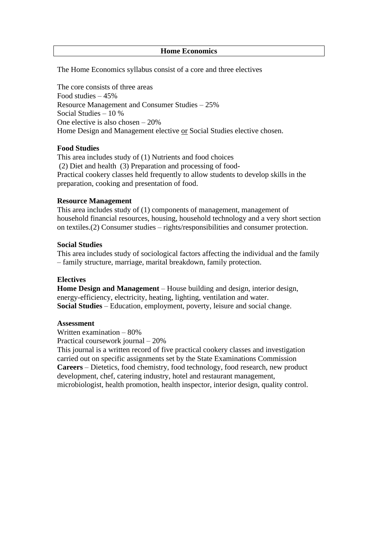#### **Home Economics**

The Home Economics syllabus consist of a core and three electives

The core consists of three areas Food studies – 45% Resource Management and Consumer Studies – 25% Social Studies – 10 % One elective is also chosen – 20% Home Design and Management elective or Social Studies elective chosen.

#### **Food Studies**

This area includes study of (1) Nutrients and food choices (2) Diet and health (3) Preparation and processing of food-Practical cookery classes held frequently to allow students to develop skills in the preparation, cooking and presentation of food.

#### **Resource Management**

This area includes study of (1) components of management, management of household financial resources, housing, household technology and a very short section on textiles.(2) Consumer studies – rights/responsibilities and consumer protection.

#### **Social Studies**

This area includes study of sociological factors affecting the individual and the family – family structure, marriage, marital breakdown, family protection.

#### **Electives**

**Home Design and Management** – House building and design, interior design, energy-efficiency, electricity, heating, lighting, ventilation and water. **Social Studies** – Education, employment, poverty, leisure and social change.

#### **Assessment**

Written examination – 80% Practical coursework journal – 20%

This journal is a written record of five practical cookery classes and investigation carried out on specific assignments set by the State Examinations Commission **Careers** – Dietetics, food chemistry, food technology, food research, new product development, chef, catering industry, hotel and restaurant management, microbiologist, health promotion, health inspector, interior design, quality control.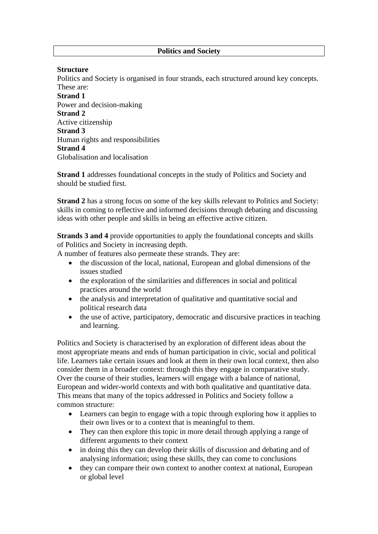#### **Structure**

Politics and Society is organised in four strands, each structured around key concepts. These are:

**Strand 1** Power and decision-making **Strand 2** Active citizenship **Strand 3** Human rights and responsibilities **Strand 4** Globalisation and localisation

**Strand 1** addresses foundational concepts in the study of Politics and Society and should be studied first.

**Strand 2** has a strong focus on some of the key skills relevant to Politics and Society: skills in coming to reflective and informed decisions through debating and discussing ideas with other people and skills in being an effective active citizen.

**Strands 3 and 4** provide opportunities to apply the foundational concepts and skills of Politics and Society in increasing depth.

A number of features also permeate these strands. They are:

- the discussion of the local, national, European and global dimensions of the issues studied
- the exploration of the similarities and differences in social and political practices around the world
- the analysis and interpretation of qualitative and quantitative social and political research data
- the use of active, participatory, democratic and discursive practices in teaching and learning.

Politics and Society is characterised by an exploration of different ideas about the most appropriate means and ends of human participation in civic, social and political life. Learners take certain issues and look at them in their own local context, then also consider them in a broader context: through this they engage in comparative study. Over the course of their studies, learners will engage with a balance of national, European and wider-world contexts and with both qualitative and quantitative data. This means that many of the topics addressed in Politics and Society follow a common structure:

- Learners can begin to engage with a topic through exploring how it applies to their own lives or to a context that is meaningful to them.
- They can then explore this topic in more detail through applying a range of different arguments to their context
- in doing this they can develop their skills of discussion and debating and of analysing information; using these skills, they can come to conclusions
- they can compare their own context to another context at national, European or global level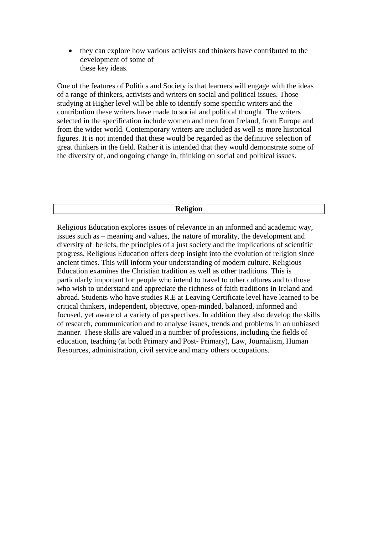• they can explore how various activists and thinkers have contributed to the development of some of these key ideas.

One of the features of Politics and Society is that learners will engage with the ideas of a range of thinkers, activists and writers on social and political issues. Those studying at Higher level will be able to identify some specific writers and the contribution these writers have made to social and political thought. The writers selected in the specification include women and men from Ireland, from Europe and from the wider world. Contemporary writers are included as well as more historical figures. It is not intended that these would be regarded as the definitive selection of great thinkers in the field. Rather it is intended that they would demonstrate some of the diversity of, and ongoing change in, thinking on social and political issues.

#### **Religion**

Religious Education explores issues of relevance in an informed and academic way, issues such as – meaning and values, the nature of morality, the development and diversity of beliefs, the principles of a just society and the implications of scientific progress. Religious Education offers deep insight into the evolution of religion since ancient times. This will inform your understanding of modern culture. Religious Education examines the Christian tradition as well as other traditions. This is particularly important for people who intend to travel to other cultures and to those who wish to understand and appreciate the richness of faith traditions in Ireland and abroad. Students who have studies R.E at Leaving Certificate level have learned to be critical thinkers, independent, objective, open-minded, balanced, informed and focused, yet aware of a variety of perspectives. In addition they also develop the skills of research, communication and to analyse issues, trends and problems in an unbiased manner. These skills are valued in a number of professions, including the fields of education, teaching (at both Primary and Post- Primary), Law, Journalism, Human Resources, administration, civil service and many others occupations.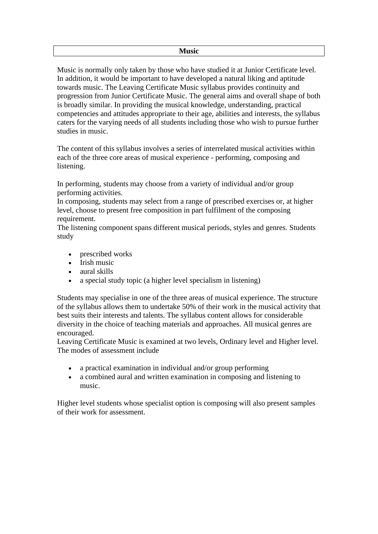Music is normally only taken by those who have studied it at Junior Certificate level. In addition, it would be important to have developed a natural liking and aptitude towards music. The Leaving Certificate Music syllabus provides continuity and progression from Junior Certificate Music. The general aims and overall shape of both is broadly similar. In providing the musical knowledge, understanding, practical competencies and attitudes appropriate to their age, abilities and interests, the syllabus caters for the varying needs of all students including those who wish to pursue further studies in music.

The content of this syllabus involves a series of interrelated musical activities within each of the three core areas of musical experience - performing, composing and listening.

In performing, students may choose from a variety of individual and/or group performing activities.

In composing, students may select from a range of prescribed exercises or, at higher level, choose to present free composition in part fulfilment of the composing requirement.

The listening component spans different musical periods, styles and genres. Students study

- prescribed works
- Irish music
- aural skills
- a special study topic (a higher level specialism in listening)

Students may specialise in one of the three areas of musical experience. The structure of the syllabus allows them to undertake 50% of their work in the musical activity that best suits their interests and talents. The syllabus content allows for considerable diversity in the choice of teaching materials and approaches. All musical genres are encouraged.

Leaving Certificate Music is examined at two levels, Ordinary level and Higher level. The modes of assessment include

- a practical examination in individual and/or group performing
- a combined aural and written examination in composing and listening to music.

Higher level students whose specialist option is composing will also present samples of their work for assessment.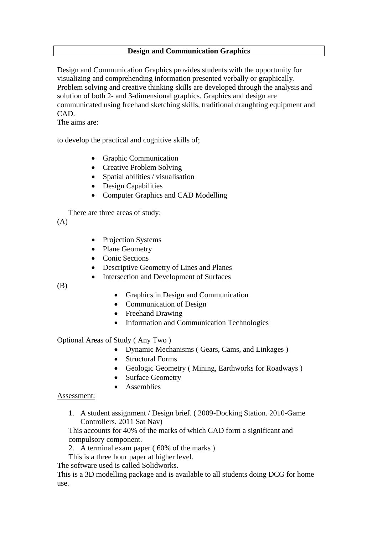#### **Design and Communication Graphics**

Design and Communication Graphics provides students with the opportunity for visualizing and comprehending information presented verbally or graphically. Problem solving and creative thinking skills are developed through the analysis and solution of both 2- and 3-dimensional graphics. Graphics and design are communicated using freehand sketching skills, traditional draughting equipment and CAD.

The aims are:

to develop the practical and cognitive skills of;

- Graphic Communication
- Creative Problem Solving
- Spatial abilities / visualisation
- Design Capabilities
- Computer Graphics and CAD Modelling

There are three areas of study:

 $(A)$ 

- Projection Systems
- Plane Geometry
- Conic Sections
- Descriptive Geometry of Lines and Planes
- Intersection and Development of Surfaces

(B)

- Graphics in Design and Communication
- Communication of Design
- Freehand Drawing
- Information and Communication Technologies

Optional Areas of Study ( Any Two )

- Dynamic Mechanisms ( Gears, Cams, and Linkages )
- Structural Forms
- Geologic Geometry (Mining, Earthworks for Roadways)
- **Surface Geometry**
- **Assemblies**

#### Assessment:

1. A student assignment / Design brief. ( 2009-Docking Station. 2010-Game Controllers. 2011 Sat Nav)

This accounts for 40% of the marks of which CAD form a significant and compulsory component.

- 2. A terminal exam paper ( 60% of the marks )
- This is a three hour paper at higher level.

The software used is called Solidworks.

This is a 3D modelling package and is available to all students doing DCG for home use.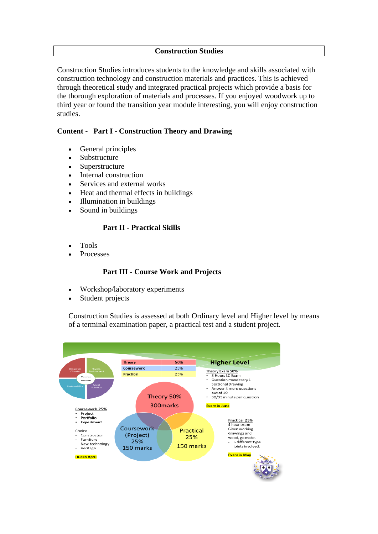#### **Construction Studies**

Construction Studies introduces students to the knowledge and skills associated with construction technology and construction materials and practices. This is achieved through theoretical study and integrated practical projects which provide a basis for the thorough exploration of materials and processes. If you enjoyed woodwork up to third year or found the transition year module interesting, you will enjoy construction studies.

#### **Content - Part I - Construction Theory and Drawing**

- General principles
- **Substructure**
- Superstructure
- Internal construction
- Services and external works
- Heat and thermal effects in buildings
- Illumination in buildings
- Sound in buildings

#### **Part II - Practical Skills**

- Tools
- **Processes**

#### **Part III - Course Work and Projects**

- Workshop/laboratory experiments
- Student projects

Construction Studies is assessed at both Ordinary level and Higher level by means of a terminal examination paper, a practical test and a student project.

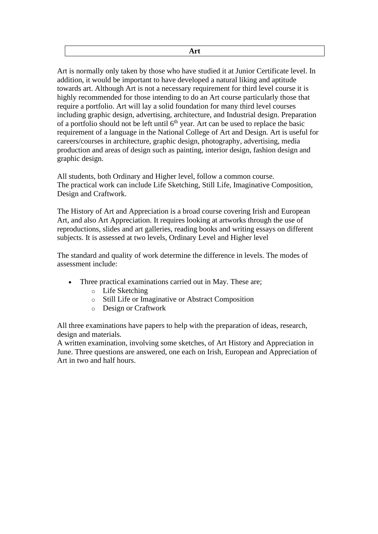Art is normally only taken by those who have studied it at Junior Certificate level. In addition, it would be important to have developed a natural liking and aptitude towards art. Although Art is not a necessary requirement for third level course it is highly recommended for those intending to do an Art course particularly those that require a portfolio. Art will lay a solid foundation for many third level courses including graphic design, advertising, architecture, and Industrial design. Preparation of a portfolio should not be left until  $6<sup>th</sup>$  year. Art can be used to replace the basic requirement of a language in the National College of Art and Design. Art is useful for careers/courses in architecture, graphic design, photography, advertising, media production and areas of design such as painting, interior design, fashion design and graphic design.

All students, both Ordinary and Higher level, follow a common course. The practical work can include Life Sketching, Still Life, Imaginative Composition, Design and Craftwork.

The History of Art and Appreciation is a broad course covering Irish and European Art, and also Art Appreciation. It requires looking at artworks through the use of reproductions, slides and art galleries, reading books and writing essays on different subjects. It is assessed at two levels, Ordinary Level and Higher level

The standard and quality of work determine the difference in levels. The modes of assessment include:

- Three practical examinations carried out in May. These are;
	- o Life Sketching
	- o Still Life or Imaginative or Abstract Composition
	- o Design or Craftwork

All three examinations have papers to help with the preparation of ideas, research, design and materials.

A written examination, involving some sketches, of Art History and Appreciation in June. Three questions are answered, one each on Irish, European and Appreciation of Art in two and half hours.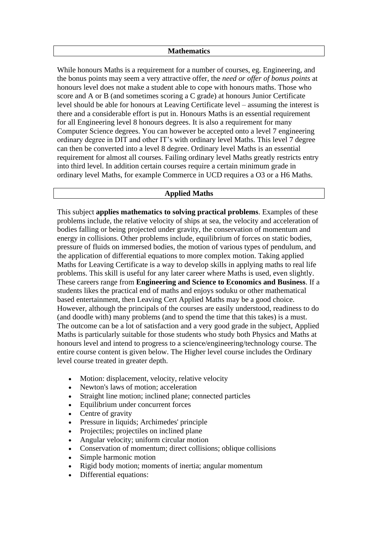#### **Mathematics**

While honours Maths is a requirement for a number of courses, eg. Engineering, and the bonus points may seem a very attractive offer, the *need or offer of bonus points* at honours level does not make a student able to cope with honours maths. Those who score and A or B (and sometimes scoring a C grade) at honours Junior Certificate level should be able for honours at Leaving Certificate level – assuming the interest is there and a considerable effort is put in. Honours Maths is an essential requirement for all Engineering level 8 honours degrees. It is also a requirement for many Computer Science degrees. You can however be accepted onto a level 7 engineering ordinary degree in DIT and other IT's with ordinary level Maths. This level 7 degree can then be converted into a level 8 degree. Ordinary level Maths is an essential requirement for almost all courses. Failing ordinary level Maths greatly restricts entry into third level. In addition certain courses require a certain minimum grade in ordinary level Maths, for example Commerce in UCD requires a O3 or a H6 Maths.

#### **Applied Maths**

This subject **applies mathematics to solving practical problems**. Examples of these problems include, the relative velocity of ships at sea, the velocity and acceleration of bodies falling or being projected under gravity, the conservation of momentum and energy in collisions. Other problems include, equilibrium of forces on static bodies, pressure of fluids on immersed bodies, the motion of various types of pendulum, and the application of differential equations to more complex motion. Taking applied Maths for Leaving Certificate is a way to develop skills in applying maths to real life problems. This skill is useful for any later career where Maths is used, even slightly. These careers range from **Engineering and Science to Economics and Business**. If a students likes the practical end of maths and enjoys soduku or other mathematical based entertainment, then Leaving Cert Applied Maths may be a good choice. However, although the principals of the courses are easily understood, readiness to do (and doodle with) many problems (and to spend the time that this takes) is a must. The outcome can be a lot of satisfaction and a very good grade in the subject, Applied Maths is particularly suitable for those students who study both Physics and Maths at honours level and intend to progress to a science/engineering/technology course. The entire course content is given below. The Higher level course includes the Ordinary level course treated in greater depth.

- Motion: displacement, velocity, relative velocity
- Newton's laws of motion: acceleration
- Straight line motion; inclined plane; connected particles
- Equilibrium under concurrent forces
- Centre of gravity
- Pressure in liquids; Archimedes' principle
- Projectiles; projectiles on inclined plane
- Angular velocity; uniform circular motion
- Conservation of momentum; direct collisions; oblique collisions
- Simple harmonic motion
- Rigid body motion; moments of inertia; angular momentum
- Differential equations: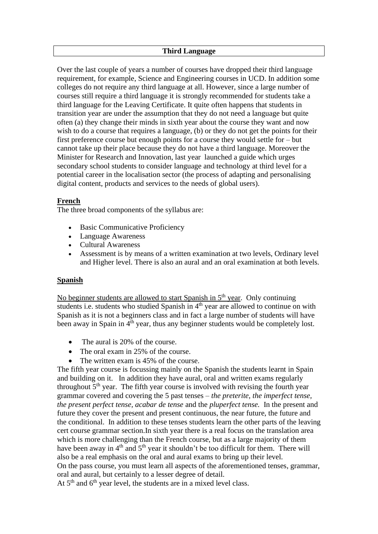#### **Third Language**

Over the last couple of years a number of courses have dropped their third language requirement, for example, Science and Engineering courses in UCD. In addition some colleges do not require any third language at all. However, since a large number of courses still require a third language it is strongly recommended for students take a third language for the Leaving Certificate. It quite often happens that students in transition year are under the assumption that they do not need a language but quite often (a) they change their minds in sixth year about the course they want and now wish to do a course that requires a language, (b) or they do not get the points for their first preference course but enough points for a course they would settle for – but cannot take up their place because they do not have a third language. Moreover the Minister for Research and Innovation, last year launched a guide which urges secondary school students to consider language and technology at third level for a potential career in the localisation sector (the process of adapting and personalising digital content, products and services to the needs of global users).

#### **French**

The three broad components of the syllabus are:

- **Basic Communicative Proficiency**
- Language Awareness
- Cultural Awareness
- Assessment is by means of a written examination at two levels, Ordinary level and Higher level. There is also an aural and an oral examination at both levels.

#### **Spanish**

No beginner students are allowed to start Spanish in  $5<sup>th</sup>$  year. Only continuing students i.e. students who studied Spanish in 4<sup>th</sup> year are allowed to continue on with Spanish as it is not a beginners class and in fact a large number of students will have been away in Spain in 4<sup>th</sup> year, thus any beginner students would be completely lost.

- The aural is 20% of the course.
- The oral exam in 25% of the course.
- The written exam is 45% of the course.

The fifth year course is focussing mainly on the Spanish the students learnt in Spain and building on it. In addition they have aural, oral and written exams regularly throughout  $5<sup>th</sup>$  year. The fifth year course is involved with revising the fourth year grammar covered and covering the 5 past tenses – *the preterite, the imperfect tense, the present perfect tense, acabar de tense* and the *pluperfect tense.* In the present and future they cover the present and present continuous, the near future, the future and the conditional. In addition to these tenses students learn the other parts of the leaving cert course grammar section.In sixth year there is a real focus on the translation area which is more challenging than the French course, but as a large majority of them have been away in  $4<sup>th</sup>$  and  $5<sup>th</sup>$  year it shouldn't be too difficult for them. There will also be a real emphasis on the oral and aural exams to bring up their level. On the pass course, you must learn all aspects of the aforementioned tenses, grammar, oral and aural, but certainly to a lesser degree of detail.

At  $5<sup>th</sup>$  and  $6<sup>th</sup>$  year level, the students are in a mixed level class.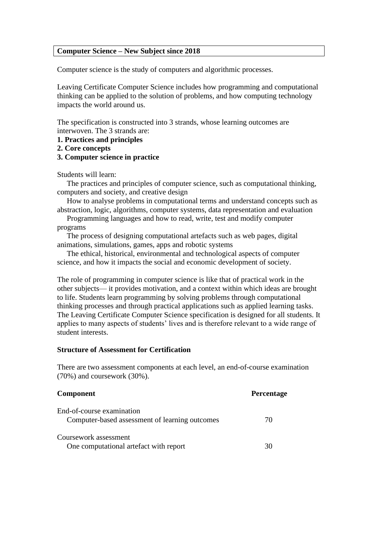#### **Computer Science – New Subject since 2018**

Computer science is the study of computers and algorithmic processes.

Leaving Certificate Computer Science includes how programming and computational thinking can be applied to the solution of problems, and how computing technology impacts the world around us.

The specification is constructed into 3 strands, whose learning outcomes are interwoven. The 3 strands are:

- **1. Practices and principles**
- **2. Core concepts**
- **3. Computer science in practice**

Students will learn:

 The practices and principles of computer science, such as computational thinking, computers and society, and creative design

 How to analyse problems in computational terms and understand concepts such as abstraction, logic, algorithms, computer systems, data representation and evaluation

Programming languages and how to read, write, test and modify computer programs

 The process of designing computational artefacts such as web pages, digital animations, simulations, games, apps and robotic systems

 The ethical, historical, environmental and technological aspects of computer science, and how it impacts the social and economic development of society.

The role of programming in computer science is like that of practical work in the other subjects— it provides motivation, and a context within which ideas are brought to life. Students learn programming by solving problems through computational thinking processes and through practical applications such as applied learning tasks. The Leaving Certificate Computer Science specification is designed for all students. It applies to many aspects of students' lives and is therefore relevant to a wide range of student interests.

#### **Structure of Assessment for Certification**

There are two assessment components at each level, an end-of-course examination (70%) and coursework (30%).

| <b>Component</b>                                                            | <b>Percentage</b> |
|-----------------------------------------------------------------------------|-------------------|
| End-of-course examination<br>Computer-based assessment of learning outcomes | 70                |
| Coursework assessment<br>One computational artefact with report             | 30                |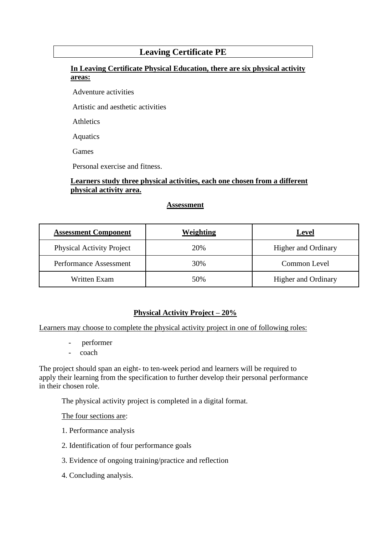## **Leaving Certificate PE**

### **In Leaving Certificate Physical Education, there are six physical activity areas:**

Adventure activities

Artistic and aesthetic activities

Athletics

Aquatics

Games

Personal exercise and fitness.

#### **Learners study three physical activities, each one chosen from a different physical activity area.**

#### **Assessment**

| <b>Assessment Component</b>      | Weighting | <b>Level</b>               |
|----------------------------------|-----------|----------------------------|
| <b>Physical Activity Project</b> | 20%       | <b>Higher and Ordinary</b> |
| Performance Assessment           | 30%       | Common Level               |
| Written Exam                     | 50%       | <b>Higher and Ordinary</b> |

#### **Physical Activity Project – 20%**

Learners may choose to complete the physical activity project in one of following roles:

- performer
- coach

The project should span an eight- to ten-week period and learners will be required to apply their learning from the specification to further develop their personal performance in their chosen role.

The physical activity project is completed in a digital format.

The four sections are:

- 1. Performance analysis
- 2. Identification of four performance goals
- 3. Evidence of ongoing training/practice and reflection
- 4. Concluding analysis.